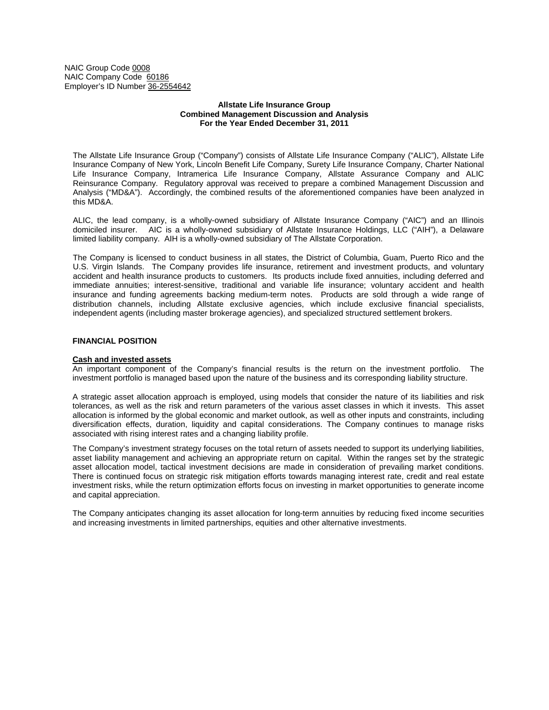NAIC Group Code 0008 NAIC Company Code 60186 Employer's ID Number 36-2554642

## **Allstate Life Insurance Group Combined Management Discussion and Analysis For the Year Ended December 31, 2011**

The Allstate Life Insurance Group ("Company") consists of Allstate Life Insurance Company ("ALIC"), Allstate Life Insurance Company of New York, Lincoln Benefit Life Company, Surety Life Insurance Company, Charter National Life Insurance Company, Intramerica Life Insurance Company, Allstate Assurance Company and ALIC Reinsurance Company. Regulatory approval was received to prepare a combined Management Discussion and Analysis ("MD&A"). Accordingly, the combined results of the aforementioned companies have been analyzed in this MD&A.

ALIC, the lead company, is a wholly-owned subsidiary of Allstate Insurance Company ("AIC") and an Illinois domiciled insurer. AIC is a wholly-owned subsidiary of Allstate Insurance Holdings, LLC ("AIH"), a Delaware limited liability company. AIH is a wholly-owned subsidiary of The Allstate Corporation.

The Company is licensed to conduct business in all states, the District of Columbia, Guam, Puerto Rico and the U.S. Virgin Islands. The Company provides life insurance, retirement and investment products, and voluntary accident and health insurance products to customers. Its products include fixed annuities, including deferred and immediate annuities; interest-sensitive, traditional and variable life insurance; voluntary accident and health insurance and funding agreements backing medium-term notes. Products are sold through a wide range of distribution channels, including Allstate exclusive agencies, which include exclusive financial specialists, independent agents (including master brokerage agencies), and specialized structured settlement brokers.

# **FINANCIAL POSITION**

### **Cash and invested assets**

An important component of the Company's financial results is the return on the investment portfolio. The investment portfolio is managed based upon the nature of the business and its corresponding liability structure.

A strategic asset allocation approach is employed, using models that consider the nature of its liabilities and risk tolerances, as well as the risk and return parameters of the various asset classes in which it invests. This asset allocation is informed by the global economic and market outlook, as well as other inputs and constraints, including diversification effects, duration, liquidity and capital considerations. The Company continues to manage risks associated with rising interest rates and a changing liability profile.

The Company's investment strategy focuses on the total return of assets needed to support its underlying liabilities, asset liability management and achieving an appropriate return on capital. Within the ranges set by the strategic asset allocation model, tactical investment decisions are made in consideration of prevailing market conditions. There is continued focus on strategic risk mitigation efforts towards managing interest rate, credit and real estate investment risks, while the return optimization efforts focus on investing in market opportunities to generate income and capital appreciation.

The Company anticipates changing its asset allocation for long-term annuities by reducing fixed income securities and increasing investments in limited partnerships, equities and other alternative investments.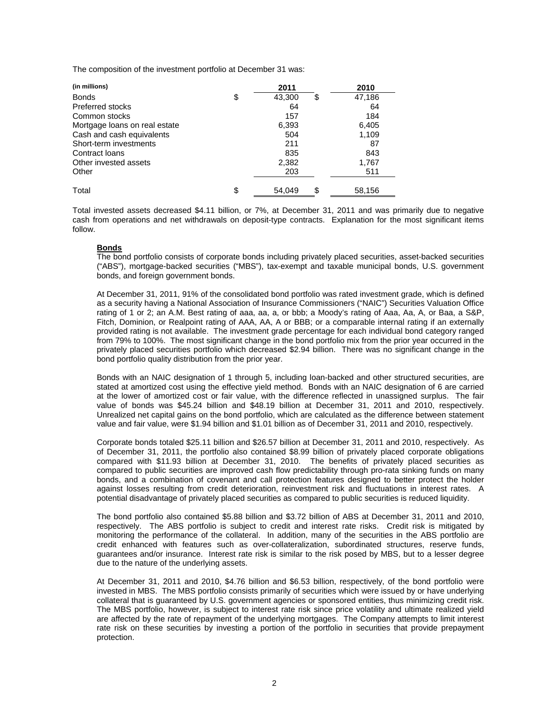The composition of the investment portfolio at December 31 was:

| (in millions)                 | 2011               | 2010   |
|-------------------------------|--------------------|--------|
| <b>Bonds</b>                  | \$<br>43,300<br>\$ | 47,186 |
| <b>Preferred stocks</b>       | 64                 | 64     |
| Common stocks                 | 157                | 184    |
| Mortgage loans on real estate | 6,393              | 6,405  |
| Cash and cash equivalents     | 504                | 1,109  |
| Short-term investments        | 211                | 87     |
| Contract Ioans                | 835                | 843    |
| Other invested assets         | 2,382              | 1,767  |
| Other                         | 203                | 511    |
| Total                         | \$<br>\$<br>54.049 | 58,156 |

Total invested assets decreased \$4.11 billion, or 7%, at December 31, 2011 and was primarily due to negative cash from operations and net withdrawals on deposit-type contracts. Explanation for the most significant items follow.

# **Bonds**

The bond portfolio consists of corporate bonds including privately placed securities, asset-backed securities ("ABS"), mortgage-backed securities ("MBS"), tax-exempt and taxable municipal bonds, U.S. government bonds, and foreign government bonds.

At December 31, 2011, 91% of the consolidated bond portfolio was rated investment grade, which is defined as a security having a National Association of Insurance Commissioners ("NAIC") Securities Valuation Office rating of 1 or 2; an A.M. Best rating of aaa, aa, a, or bbb; a Moody's rating of Aaa, Aa, A, or Baa, a S&P, Fitch, Dominion, or Realpoint rating of AAA, AA, A or BBB; or a comparable internal rating if an externally provided rating is not available. The investment grade percentage for each individual bond category ranged from 79% to 100%. The most significant change in the bond portfolio mix from the prior year occurred in the privately placed securities portfolio which decreased \$2.94 billion. There was no significant change in the bond portfolio quality distribution from the prior year.

Bonds with an NAIC designation of 1 through 5, including loan-backed and other structured securities, are stated at amortized cost using the effective yield method. Bonds with an NAIC designation of 6 are carried at the lower of amortized cost or fair value, with the difference reflected in unassigned surplus. The fair value of bonds was \$45.24 billion and \$48.19 billion at December 31, 2011 and 2010, respectively. Unrealized net capital gains on the bond portfolio, which are calculated as the difference between statement value and fair value, were \$1.94 billion and \$1.01 billion as of December 31, 2011 and 2010, respectively.

Corporate bonds totaled \$25.11 billion and \$26.57 billion at December 31, 2011 and 2010, respectively. As of December 31, 2011, the portfolio also contained \$8.99 billion of privately placed corporate obligations compared with \$11.93 billion at December 31, 2010. The benefits of privately placed securities as compared to public securities are improved cash flow predictability through pro-rata sinking funds on many bonds, and a combination of covenant and call protection features designed to better protect the holder against losses resulting from credit deterioration, reinvestment risk and fluctuations in interest rates. A potential disadvantage of privately placed securities as compared to public securities is reduced liquidity.

The bond portfolio also contained \$5.88 billion and \$3.72 billion of ABS at December 31, 2011 and 2010, respectively. The ABS portfolio is subject to credit and interest rate risks. Credit risk is mitigated by monitoring the performance of the collateral. In addition, many of the securities in the ABS portfolio are credit enhanced with features such as over-collateralization, subordinated structures, reserve funds, guarantees and/or insurance. Interest rate risk is similar to the risk posed by MBS, but to a lesser degree due to the nature of the underlying assets.

At December 31, 2011 and 2010, \$4.76 billion and \$6.53 billion, respectively, of the bond portfolio were invested in MBS. The MBS portfolio consists primarily of securities which were issued by or have underlying collateral that is guaranteed by U.S. government agencies or sponsored entities, thus minimizing credit risk. The MBS portfolio, however, is subject to interest rate risk since price volatility and ultimate realized yield are affected by the rate of repayment of the underlying mortgages. The Company attempts to limit interest rate risk on these securities by investing a portion of the portfolio in securities that provide prepayment protection.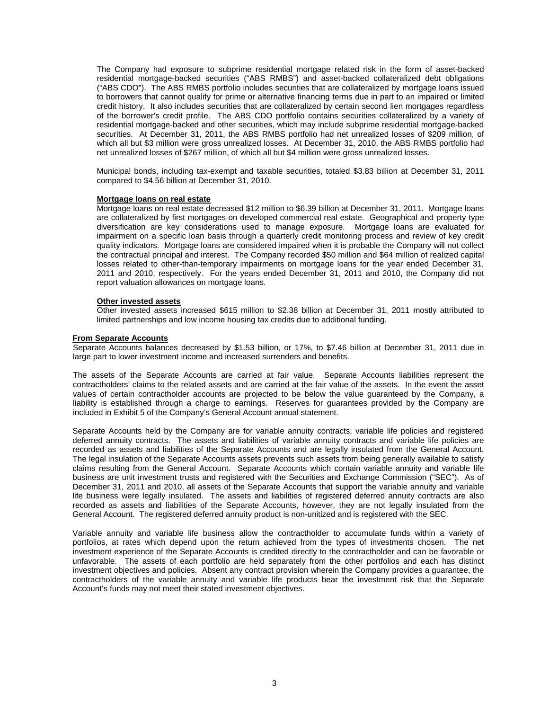The Company had exposure to subprime residential mortgage related risk in the form of asset-backed residential mortgage-backed securities ("ABS RMBS") and asset-backed collateralized debt obligations ("ABS CDO"). The ABS RMBS portfolio includes securities that are collateralized by mortgage loans issued to borrowers that cannot qualify for prime or alternative financing terms due in part to an impaired or limited credit history. It also includes securities that are collateralized by certain second lien mortgages regardless of the borrower's credit profile. The ABS CDO portfolio contains securities collateralized by a variety of residential mortgage-backed and other securities, which may include subprime residential mortgage-backed securities. At December 31, 2011, the ABS RMBS portfolio had net unrealized losses of \$209 million, of which all but \$3 million were gross unrealized losses. At December 31, 2010, the ABS RMBS portfolio had net unrealized losses of \$267 million, of which all but \$4 million were gross unrealized losses.

Municipal bonds, including tax-exempt and taxable securities, totaled \$3.83 billion at December 31, 2011 compared to \$4.56 billion at December 31, 2010.

## **Mortgage loans on real estate**

Mortgage loans on real estate decreased \$12 million to \$6.39 billion at December 31, 2011. Mortgage loans are collateralized by first mortgages on developed commercial real estate. Geographical and property type diversification are key considerations used to manage exposure. Mortgage loans are evaluated for impairment on a specific loan basis through a quarterly credit monitoring process and review of key credit quality indicators. Mortgage loans are considered impaired when it is probable the Company will not collect the contractual principal and interest. The Company recorded \$50 million and \$64 million of realized capital losses related to other-than-temporary impairments on mortgage loans for the year ended December 31, 2011 and 2010, respectively. For the years ended December 31, 2011 and 2010, the Company did not report valuation allowances on mortgage loans.

## **Other invested assets**

Other invested assets increased \$615 million to \$2.38 billion at December 31, 2011 mostly attributed to limited partnerships and low income housing tax credits due to additional funding.

## **From Separate Accounts**

Separate Accounts balances decreased by \$1.53 billion, or 17%, to \$7.46 billion at December 31, 2011 due in large part to lower investment income and increased surrenders and benefits.

The assets of the Separate Accounts are carried at fair value. Separate Accounts liabilities represent the contractholders' claims to the related assets and are carried at the fair value of the assets. In the event the asset values of certain contractholder accounts are projected to be below the value guaranteed by the Company, a liability is established through a charge to earnings. Reserves for guarantees provided by the Company are included in Exhibit 5 of the Company's General Account annual statement.

Separate Accounts held by the Company are for variable annuity contracts, variable life policies and registered deferred annuity contracts. The assets and liabilities of variable annuity contracts and variable life policies are recorded as assets and liabilities of the Separate Accounts and are legally insulated from the General Account. The legal insulation of the Separate Accounts assets prevents such assets from being generally available to satisfy claims resulting from the General Account. Separate Accounts which contain variable annuity and variable life business are unit investment trusts and registered with the Securities and Exchange Commission ("SEC"). As of December 31, 2011 and 2010, all assets of the Separate Accounts that support the variable annuity and variable life business were legally insulated. The assets and liabilities of registered deferred annuity contracts are also recorded as assets and liabilities of the Separate Accounts, however, they are not legally insulated from the General Account. The registered deferred annuity product is non-unitized and is registered with the SEC.

Variable annuity and variable life business allow the contractholder to accumulate funds within a variety of portfolios, at rates which depend upon the return achieved from the types of investments chosen. The net investment experience of the Separate Accounts is credited directly to the contractholder and can be favorable or unfavorable. The assets of each portfolio are held separately from the other portfolios and each has distinct investment objectives and policies. Absent any contract provision wherein the Company provides a guarantee, the contractholders of the variable annuity and variable life products bear the investment risk that the Separate Account's funds may not meet their stated investment objectives.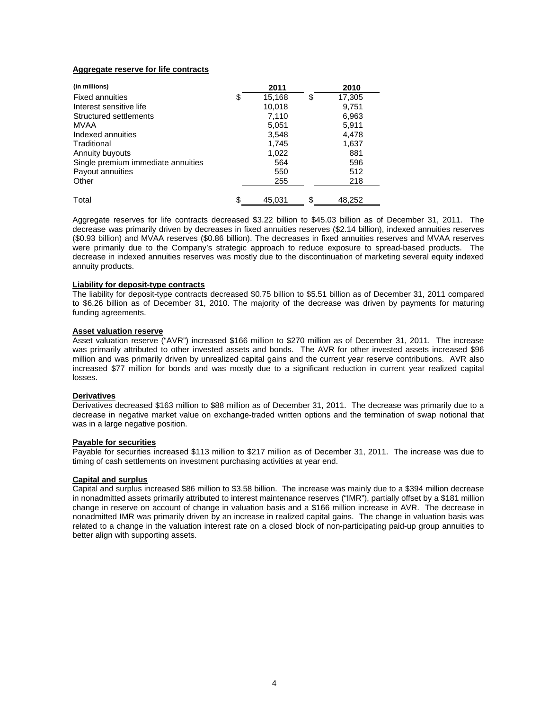# **Aggregate reserve for life contracts**

| (in millions)                      | 2011         | 2010         |
|------------------------------------|--------------|--------------|
| <b>Fixed annuities</b>             | \$<br>15,168 | \$<br>17,305 |
| Interest sensitive life            | 10,018       | 9,751        |
| Structured settlements             | 7,110        | 6,963        |
| MVAA                               | 5,051        | 5,911        |
| Indexed annuities                  | 3,548        | 4,478        |
| Traditional                        | 1,745        | 1,637        |
| Annuity buyouts                    | 1,022        | 881          |
| Single premium immediate annuities | 564          | 596          |
| Payout annuities                   | 550          | 512          |
| Other                              | 255          | 218          |
| Total                              | \$<br>45.031 | \$<br>48.252 |

Aggregate reserves for life contracts decreased \$3.22 billion to \$45.03 billion as of December 31, 2011. The decrease was primarily driven by decreases in fixed annuities reserves (\$2.14 billion), indexed annuities reserves (\$0.93 billion) and MVAA reserves (\$0.86 billion). The decreases in fixed annuities reserves and MVAA reserves were primarily due to the Company's strategic approach to reduce exposure to spread-based products. The decrease in indexed annuities reserves was mostly due to the discontinuation of marketing several equity indexed annuity products.

# **Liability for deposit-type contracts**

The liability for deposit-type contracts decreased \$0.75 billion to \$5.51 billion as of December 31, 2011 compared to \$6.26 billion as of December 31, 2010. The majority of the decrease was driven by payments for maturing funding agreements.

## **Asset valuation reserve**

Asset valuation reserve ("AVR") increased \$166 million to \$270 million as of December 31, 2011. The increase was primarily attributed to other invested assets and bonds. The AVR for other invested assets increased \$96 million and was primarily driven by unrealized capital gains and the current year reserve contributions. AVR also increased \$77 million for bonds and was mostly due to a significant reduction in current year realized capital losses.

### **Derivatives**

Derivatives decreased \$163 million to \$88 million as of December 31, 2011. The decrease was primarily due to a decrease in negative market value on exchange-traded written options and the termination of swap notional that was in a large negative position.

### **Payable for securities**

Payable for securities increased \$113 million to \$217 million as of December 31, 2011. The increase was due to timing of cash settlements on investment purchasing activities at year end.

# **Capital and surplus**

Capital and surplus increased \$86 million to \$3.58 billion. The increase was mainly due to a \$394 million decrease in nonadmitted assets primarily attributed to interest maintenance reserves ("IMR"), partially offset by a \$181 million change in reserve on account of change in valuation basis and a \$166 million increase in AVR. The decrease in nonadmitted IMR was primarily driven by an increase in realized capital gains. The change in valuation basis was related to a change in the valuation interest rate on a closed block of non-participating paid-up group annuities to better align with supporting assets.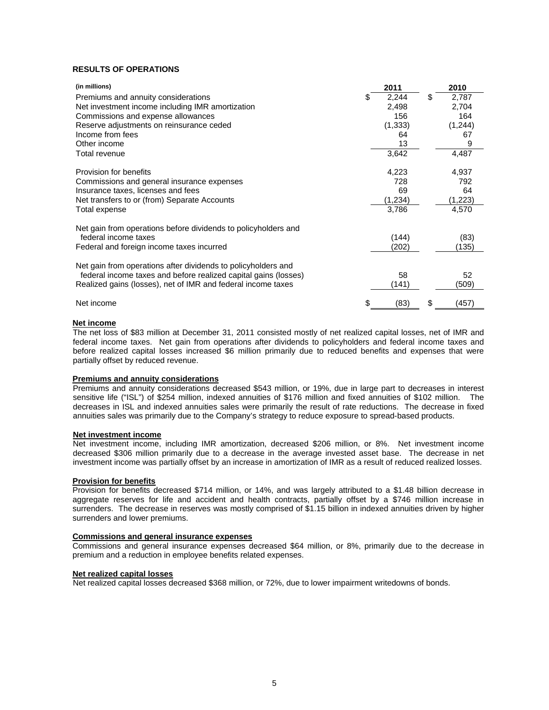# **RESULTS OF OPERATIONS**

| (in millions)                                                   | 2011     | 2010        |
|-----------------------------------------------------------------|----------|-------------|
| Premiums and annuity considerations                             | 2,244    | \$<br>2,787 |
| Net investment income including IMR amortization                | 2,498    | 2,704       |
| Commissions and expense allowances                              | 156      | 164         |
| Reserve adjustments on reinsurance ceded                        | (1, 333) | (1, 244)    |
| Income from fees                                                | 64       | 67          |
| Other income                                                    | 13       | 9           |
| Total revenue                                                   | 3,642    | 4,487       |
| Provision for benefits                                          | 4,223    | 4,937       |
| Commissions and general insurance expenses                      | 728      | 792         |
| Insurance taxes, licenses and fees                              | 69       | 64          |
| Net transfers to or (from) Separate Accounts                    | (1,234)  | (1,223)     |
| Total expense                                                   | 3,786    | 4,570       |
| Net gain from operations before dividends to policyholders and  |          |             |
| federal income taxes                                            | (144)    | (83)        |
| Federal and foreign income taxes incurred                       | (202)    | (135)       |
| Net gain from operations after dividends to policyholders and   |          |             |
| federal income taxes and before realized capital gains (losses) | 58       | 52          |
| Realized gains (losses), net of IMR and federal income taxes    | (141)    | (509)       |
| Net income                                                      | (83)     | \$<br>(457) |

## **Net income**

The net loss of \$83 million at December 31, 2011 consisted mostly of net realized capital losses, net of IMR and federal income taxes. Net gain from operations after dividends to policyholders and federal income taxes and before realized capital losses increased \$6 million primarily due to reduced benefits and expenses that were partially offset by reduced revenue.

## **Premiums and annuity considerations**

Premiums and annuity considerations decreased \$543 million, or 19%, due in large part to decreases in interest sensitive life ("ISL") of \$254 million, indexed annuities of \$176 million and fixed annuities of \$102 million. The decreases in ISL and indexed annuities sales were primarily the result of rate reductions. The decrease in fixed annuities sales was primarily due to the Company's strategy to reduce exposure to spread-based products.

### **Net investment income**

Net investment income, including IMR amortization, decreased \$206 million, or 8%. Net investment income decreased \$306 million primarily due to a decrease in the average invested asset base. The decrease in net investment income was partially offset by an increase in amortization of IMR as a result of reduced realized losses.

## **Provision for benefits**

Provision for benefits decreased \$714 million, or 14%, and was largely attributed to a \$1.48 billion decrease in aggregate reserves for life and accident and health contracts, partially offset by a \$746 million increase in surrenders. The decrease in reserves was mostly comprised of \$1.15 billion in indexed annuities driven by higher surrenders and lower premiums.

### **Commissions and general insurance expenses**

Commissions and general insurance expenses decreased \$64 million, or 8%, primarily due to the decrease in premium and a reduction in employee benefits related expenses.

### **Net realized capital losses**

Net realized capital losses decreased \$368 million, or 72%, due to lower impairment writedowns of bonds.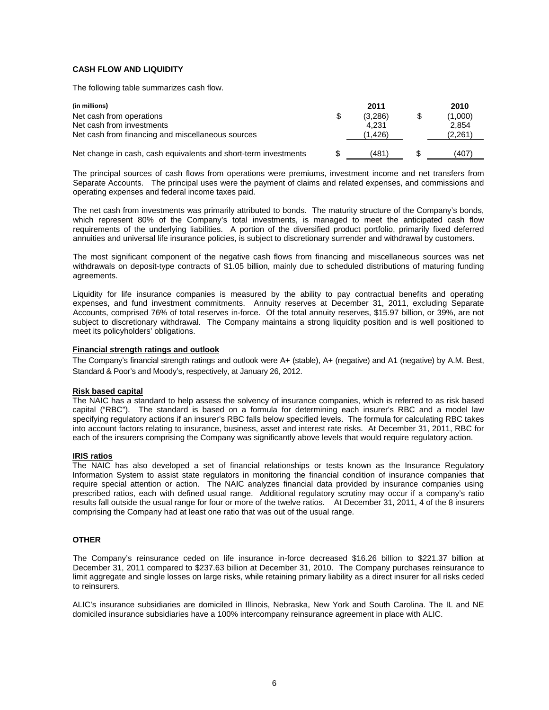# **CASH FLOW AND LIQUIDITY**

The following table summarizes cash flow.

| (in millions)                                                   | 2011          | 2010    |
|-----------------------------------------------------------------|---------------|---------|
| Net cash from operations                                        | \$<br>(3.286) | (1,000) |
| Net cash from investments                                       | 4.231         | 2.854   |
| Net cash from financing and miscellaneous sources               | (1.426)       | (2,261) |
|                                                                 |               |         |
| Net change in cash, cash equivalents and short-term investments | (481          | (407)   |

The principal sources of cash flows from operations were premiums, investment income and net transfers from Separate Accounts. The principal uses were the payment of claims and related expenses, and commissions and operating expenses and federal income taxes paid.

The net cash from investments was primarily attributed to bonds. The maturity structure of the Company's bonds, which represent 80% of the Company's total investments, is managed to meet the anticipated cash flow requirements of the underlying liabilities. A portion of the diversified product portfolio, primarily fixed deferred annuities and universal life insurance policies, is subject to discretionary surrender and withdrawal by customers.

The most significant component of the negative cash flows from financing and miscellaneous sources was net withdrawals on deposit-type contracts of \$1.05 billion, mainly due to scheduled distributions of maturing funding agreements.

Liquidity for life insurance companies is measured by the ability to pay contractual benefits and operating expenses, and fund investment commitments. Annuity reserves at December 31, 2011, excluding Separate Accounts, comprised 76% of total reserves in-force. Of the total annuity reserves, \$15.97 billion, or 39%, are not subject to discretionary withdrawal. The Company maintains a strong liquidity position and is well positioned to meet its policyholders' obligations.

# **Financial strength ratings and outlook**

The Company's financial strength ratings and outlook were A+ (stable), A+ (negative) and A1 (negative) by A.M. Best, Standard & Poor's and Moody's, respectively, at January 26, 2012.

### **Risk based capital**

The NAIC has a standard to help assess the solvency of insurance companies, which is referred to as risk based capital ("RBC"). The standard is based on a formula for determining each insurer's RBC and a model law specifying regulatory actions if an insurer's RBC falls below specified levels. The formula for calculating RBC takes into account factors relating to insurance, business, asset and interest rate risks. At December 31, 2011, RBC for each of the insurers comprising the Company was significantly above levels that would require regulatory action.

# **IRIS ratios**

The NAIC has also developed a set of financial relationships or tests known as the Insurance Regulatory Information System to assist state regulators in monitoring the financial condition of insurance companies that require special attention or action. The NAIC analyzes financial data provided by insurance companies using prescribed ratios, each with defined usual range. Additional regulatory scrutiny may occur if a company's ratio results fall outside the usual range for four or more of the twelve ratios. At December 31, 2011, 4 of the 8 insurers comprising the Company had at least one ratio that was out of the usual range.

# **OTHER**

The Company's reinsurance ceded on life insurance in-force decreased \$16.26 billion to \$221.37 billion at December 31, 2011 compared to \$237.63 billion at December 31, 2010. The Company purchases reinsurance to limit aggregate and single losses on large risks, while retaining primary liability as a direct insurer for all risks ceded to reinsurers.

ALIC's insurance subsidiaries are domiciled in Illinois, Nebraska, New York and South Carolina. The IL and NE domiciled insurance subsidiaries have a 100% intercompany reinsurance agreement in place with ALIC.